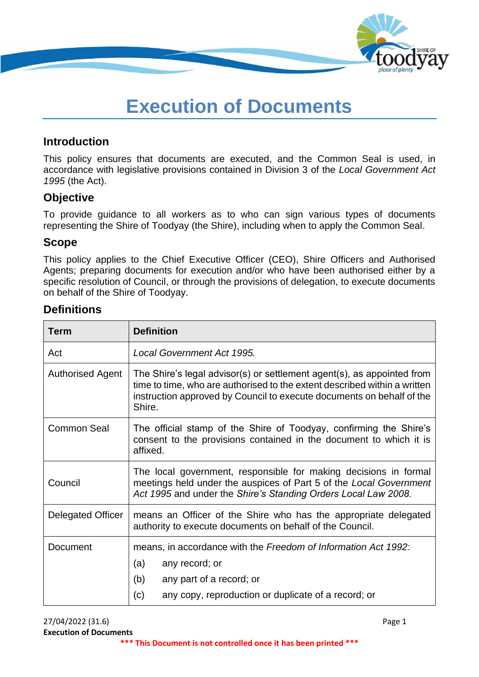

# **Execution of Documents**

### **Introduction**

This policy ensures that documents are executed, and the Common Seal is used, in accordance with legislative provisions contained in Division 3 of the *Local Government Act 1995* (the Act).

#### **Objective**

To provide guidance to all workers as to who can sign various types of documents representing the Shire of Toodyay (the Shire), including when to apply the Common Seal.

#### **Scope**

This policy applies to the Chief Executive Officer (CEO), Shire Officers and Authorised Agents; preparing documents for execution and/or who have been authorised either by a specific resolution of Council, or through the provisions of delegation, to execute documents on behalf of the Shire of Toodyay.

# **Definitions**

| <b>Term</b>             | <b>Definition</b>                                                                                                                                                                                                                      |  |  |  |  |
|-------------------------|----------------------------------------------------------------------------------------------------------------------------------------------------------------------------------------------------------------------------------------|--|--|--|--|
| Act                     | Local Government Act 1995.                                                                                                                                                                                                             |  |  |  |  |
| <b>Authorised Agent</b> | The Shire's legal advisor(s) or settlement agent(s), as appointed from<br>time to time, who are authorised to the extent described within a written<br>instruction approved by Council to execute documents on behalf of the<br>Shire. |  |  |  |  |
| Common Seal             | The official stamp of the Shire of Toodyay, confirming the Shire's<br>consent to the provisions contained in the document to which it is<br>affixed.                                                                                   |  |  |  |  |
| Council                 | The local government, responsible for making decisions in formal<br>meetings held under the auspices of Part 5 of the Local Government<br>Act 1995 and under the Shire's Standing Orders Local Law 2008.                               |  |  |  |  |
| Delegated Officer       | means an Officer of the Shire who has the appropriate delegated<br>authority to execute documents on behalf of the Council.                                                                                                            |  |  |  |  |
| Document                | means, in accordance with the Freedom of Information Act 1992:<br>any record; or<br>(a)<br>(b)<br>any part of a record; or<br>any copy, reproduction or duplicate of a record; or<br>(c)                                               |  |  |  |  |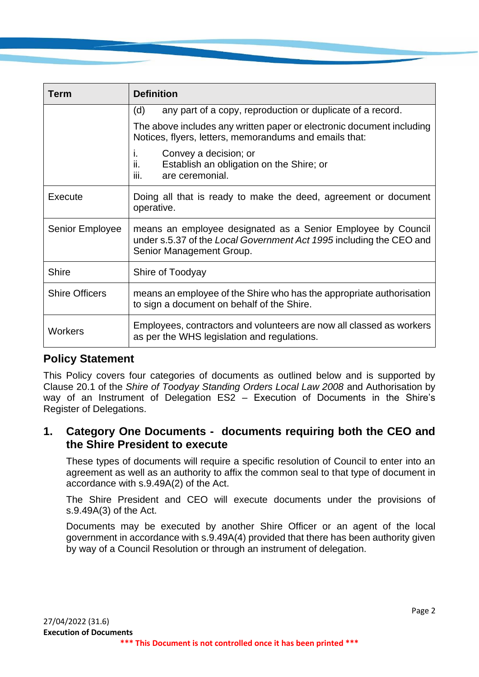| Term                  | <b>Definition</b>                                                                                                                                               |  |  |  |  |  |
|-----------------------|-----------------------------------------------------------------------------------------------------------------------------------------------------------------|--|--|--|--|--|
|                       | any part of a copy, reproduction or duplicate of a record.<br>(d)                                                                                               |  |  |  |  |  |
|                       | The above includes any written paper or electronic document including<br>Notices, flyers, letters, memorandums and emails that:                                 |  |  |  |  |  |
|                       | Convey a decision; or<br>Ť.<br>ii.<br>Establish an obligation on the Shire; or<br>are ceremonial.<br>iii.                                                       |  |  |  |  |  |
| Execute               | Doing all that is ready to make the deed, agreement or document<br>operative.                                                                                   |  |  |  |  |  |
| Senior Employee       | means an employee designated as a Senior Employee by Council<br>under s.5.37 of the Local Government Act 1995 including the CEO and<br>Senior Management Group. |  |  |  |  |  |
| <b>Shire</b>          | Shire of Toodyay                                                                                                                                                |  |  |  |  |  |
| <b>Shire Officers</b> | means an employee of the Shire who has the appropriate authorisation<br>to sign a document on behalf of the Shire.                                              |  |  |  |  |  |
| <b>Workers</b>        | Employees, contractors and volunteers are now all classed as workers<br>as per the WHS legislation and regulations.                                             |  |  |  |  |  |

#### **Policy Statement**

This Policy covers four categories of documents as outlined below and is supported by Clause 20.1 of the *Shire of Toodyay Standing Orders Local Law 2008* and Authorisation by way of an Instrument of Delegation ES2 – Execution of Documents in the Shire's Register of Delegations.

## **1. Category One Documents - documents requiring both the CEO and the Shire President to execute**

These types of documents will require a specific resolution of Council to enter into an agreement as well as an authority to affix the common seal to that type of document in accordance with s.9.49A(2) of the Act.

The Shire President and CEO will execute documents under the provisions of s.9.49A(3) of the Act.

Documents may be executed by another Shire Officer or an agent of the local government in accordance with s.9.49A(4) provided that there has been authority given by way of a Council Resolution or through an instrument of delegation.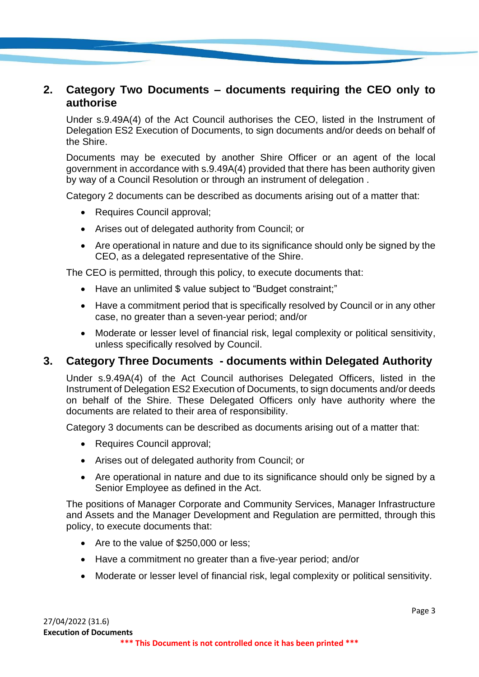## **2. Category Two Documents – documents requiring the CEO only to authorise**

Under s.9.49A(4) of the Act Council authorises the CEO, listed in the Instrument of Delegation ES2 Execution of Documents, to sign documents and/or deeds on behalf of the Shire.

Documents may be executed by another Shire Officer or an agent of the local government in accordance with s.9.49A(4) provided that there has been authority given by way of a Council Resolution or through an instrument of delegation .

Category 2 documents can be described as documents arising out of a matter that:

- Requires Council approval;
- Arises out of delegated authority from Council; or
- Are operational in nature and due to its significance should only be signed by the CEO, as a delegated representative of the Shire.

The CEO is permitted, through this policy, to execute documents that:

- Have an unlimited \$ value subject to "Budget constraint;"
- Have a commitment period that is specifically resolved by Council or in any other case, no greater than a seven-year period; and/or
- Moderate or lesser level of financial risk, legal complexity or political sensitivity, unless specifically resolved by Council.

#### **3. Category Three Documents - documents within Delegated Authority**

Under s.9.49A(4) of the Act Council authorises Delegated Officers, listed in the Instrument of Delegation ES2 Execution of Documents, to sign documents and/or deeds on behalf of the Shire. These Delegated Officers only have authority where the documents are related to their area of responsibility.

Category 3 documents can be described as documents arising out of a matter that:

- Requires Council approval;
- Arises out of delegated authority from Council; or
- Are operational in nature and due to its significance should only be signed by a Senior Employee as defined in the Act.

The positions of Manager Corporate and Community Services, Manager Infrastructure and Assets and the Manager Development and Regulation are permitted, through this policy, to execute documents that:

- Are to the value of \$250,000 or less;
- Have a commitment no greater than a five-year period: and/or
- Moderate or lesser level of financial risk, legal complexity or political sensitivity.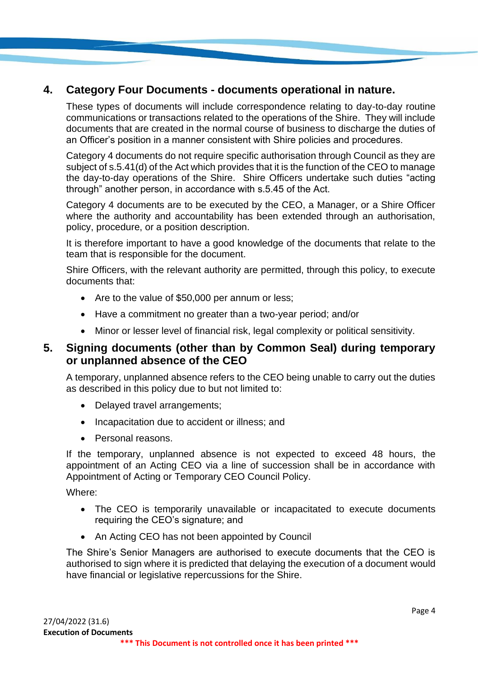# **4. Category Four Documents - documents operational in nature.**

These types of documents will include correspondence relating to day-to-day routine communications or transactions related to the operations of the Shire. They will include documents that are created in the normal course of business to discharge the duties of an Officer's position in a manner consistent with Shire policies and procedures.

Category 4 documents do not require specific authorisation through Council as they are subject of s.5.41(d) of the Act which provides that it is the function of the CEO to manage the day-to-day operations of the Shire. Shire Officers undertake such duties "acting through" another person, in accordance with s.5.45 of the Act.

Category 4 documents are to be executed by the CEO, a Manager, or a Shire Officer where the authority and accountability has been extended through an authorisation, policy, procedure, or a position description.

It is therefore important to have a good knowledge of the documents that relate to the team that is responsible for the document.

Shire Officers, with the relevant authority are permitted, through this policy, to execute documents that:

- Are to the value of \$50,000 per annum or less;
- Have a commitment no greater than a two-year period; and/or
- Minor or lesser level of financial risk, legal complexity or political sensitivity.

#### **5. Signing documents (other than by Common Seal) during temporary or unplanned absence of the CEO**

A temporary, unplanned absence refers to the CEO being unable to carry out the duties as described in this policy due to but not limited to:

- Delayed travel arrangements;
- Incapacitation due to accident or illness: and
- Personal reasons.

If the temporary, unplanned absence is not expected to exceed 48 hours, the appointment of an Acting CEO via a line of succession shall be in accordance with Appointment of Acting or Temporary CEO Council Policy.

Where:

- The CEO is temporarily unavailable or incapacitated to execute documents requiring the CEO's signature; and
- An Acting CEO has not been appointed by Council

The Shire's Senior Managers are authorised to execute documents that the CEO is authorised to sign where it is predicted that delaying the execution of a document would have financial or legislative repercussions for the Shire.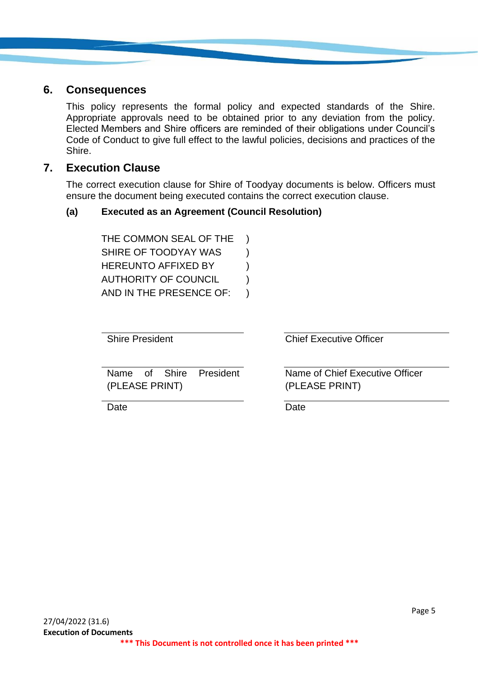#### **6. Consequences**

This policy represents the formal policy and expected standards of the Shire. Appropriate approvals need to be obtained prior to any deviation from the policy. Elected Members and Shire officers are reminded of their obligations under Council's Code of Conduct to give full effect to the lawful policies, decisions and practices of the Shire.

#### **7. Execution Clause**

The correct execution clause for Shire of Toodyay documents is below. Officers must ensure the document being executed contains the correct execution clause.

#### **(a) Executed as an Agreement (Council Resolution)**

THE COMMON SEAL OF THE ) SHIRE OF TOODYAY WAS  $\qquad$  ) HEREUNTO AFFIXED BY  $)$ AUTHORITY OF COUNCIL (1) AND IN THE PRESENCE OF: )

Shire President Chief Executive Officer

Name of Shire President (PLEASE PRINT)

Name of Chief Executive Officer (PLEASE PRINT)

Date **Date** Date **Date**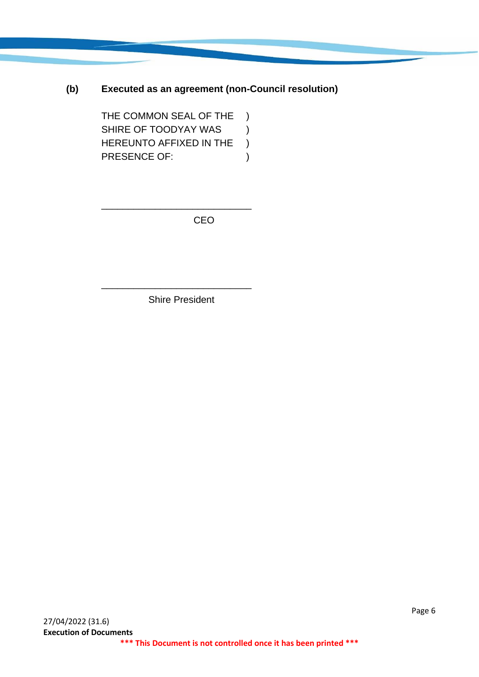#### **(b) Executed as an agreement (non-Council resolution)**

THE COMMON SEAL OF THE ) SHIRE OF TOODYAY WAS (a) HEREUNTO AFFIXED IN THE ) PRESENCE OF: (1)

\_\_\_\_\_\_\_\_\_\_\_\_\_\_\_\_\_\_\_\_\_\_\_\_\_\_\_\_

CEO

Shire President

\_\_\_\_\_\_\_\_\_\_\_\_\_\_\_\_\_\_\_\_\_\_\_\_\_\_\_\_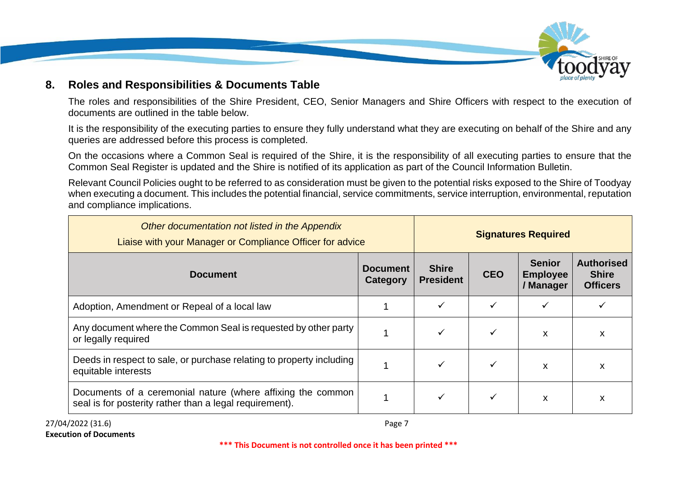

#### **8. Roles and Responsibilities & Documents Table**

The roles and responsibilities of the Shire President, CEO, Senior Managers and Shire Officers with respect to the execution of documents are outlined in the table below.

It is the responsibility of the executing parties to ensure they fully understand what they are executing on behalf of the Shire and any queries are addressed before this process is completed.

On the occasions where a Common Seal is required of the Shire, it is the responsibility of all executing parties to ensure that the Common Seal Register is updated and the Shire is notified of its application as part of the Council Information Bulletin.

Relevant Council Policies ought to be referred to as consideration must be given to the potential risks exposed to the Shire of Toodyay when executing a document. This includes the potential financial, service commitments, service interruption, environmental, reputation and compliance implications.

| Other documentation not listed in the Appendix<br>Liaise with your Manager or Compliance Officer for advice            |                             |                                  | <b>Signatures Required</b> |                                               |                                                      |  |
|------------------------------------------------------------------------------------------------------------------------|-----------------------------|----------------------------------|----------------------------|-----------------------------------------------|------------------------------------------------------|--|
| <b>Document</b>                                                                                                        | <b>Document</b><br>Category | <b>Shire</b><br><b>President</b> | <b>CEO</b>                 | <b>Senior</b><br><b>Employee</b><br>/ Manager | <b>Authorised</b><br><b>Shire</b><br><b>Officers</b> |  |
| Adoption, Amendment or Repeal of a local law                                                                           |                             |                                  |                            |                                               |                                                      |  |
| Any document where the Common Seal is requested by other party<br>or legally required                                  |                             |                                  | ✓                          | X                                             | X                                                    |  |
| Deeds in respect to sale, or purchase relating to property including<br>equitable interests                            |                             |                                  |                            | X                                             | X                                                    |  |
| Documents of a ceremonial nature (where affixing the common<br>seal is for posterity rather than a legal requirement). |                             |                                  |                            | X                                             | X                                                    |  |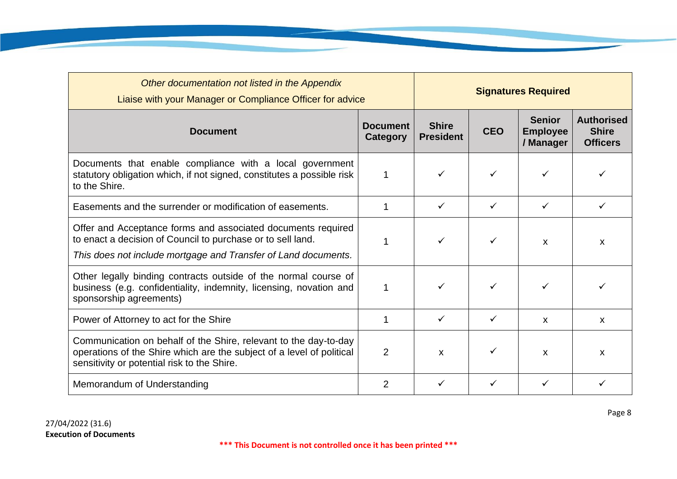| Other documentation not listed in the Appendix<br>Liaise with your Manager or Compliance Officer for advice                                                                                   |                | <b>Signatures Required</b>       |            |                                               |                                                      |
|-----------------------------------------------------------------------------------------------------------------------------------------------------------------------------------------------|----------------|----------------------------------|------------|-----------------------------------------------|------------------------------------------------------|
| <b>Document</b><br><b>Document</b><br>Category                                                                                                                                                |                | <b>Shire</b><br><b>President</b> | <b>CEO</b> | <b>Senior</b><br><b>Employee</b><br>/ Manager | <b>Authorised</b><br><b>Shire</b><br><b>Officers</b> |
| Documents that enable compliance with a local government<br>statutory obligation which, if not signed, constitutes a possible risk<br>to the Shire.                                           |                |                                  |            |                                               |                                                      |
| Easements and the surrender or modification of easements.                                                                                                                                     |                | ✓                                | ✓          | ✓                                             | ✓                                                    |
| Offer and Acceptance forms and associated documents required<br>to enact a decision of Council to purchase or to sell land.<br>This does not include mortgage and Transfer of Land documents. |                |                                  | ✓          | X                                             | X                                                    |
| Other legally binding contracts outside of the normal course of<br>business (e.g. confidentiality, indemnity, licensing, novation and<br>sponsorship agreements)                              |                | ✓                                |            | ✓                                             |                                                      |
| Power of Attorney to act for the Shire                                                                                                                                                        |                | ✓                                | ✓          | $\mathsf{x}$                                  | $\mathsf{x}$                                         |
| Communication on behalf of the Shire, relevant to the day-to-day<br>operations of the Shire which are the subject of a level of political<br>sensitivity or potential risk to the Shire.      | $\overline{2}$ | $\mathsf{x}$                     | ✓          | $\boldsymbol{\mathsf{x}}$                     | $\boldsymbol{\mathsf{x}}$                            |
| Memorandum of Understanding                                                                                                                                                                   | 2              |                                  |            |                                               |                                                      |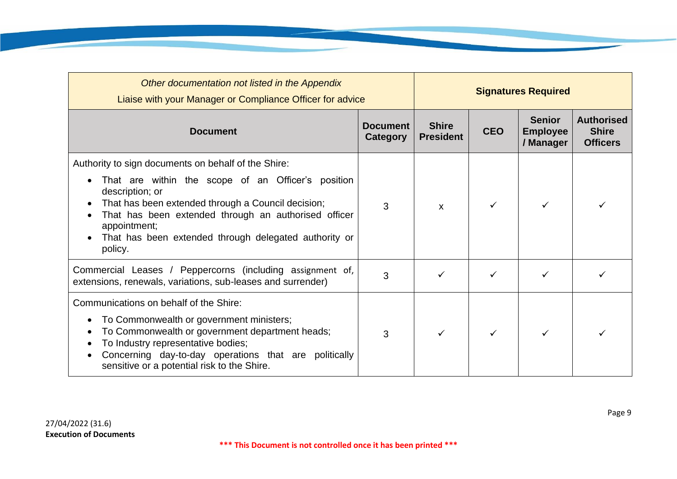| Other documentation not listed in the Appendix<br>Liaise with your Manager or Compliance Officer for advice                                                                                                                                                                                                                    |   |                                  | <b>Signatures Required</b> |                                               |                                                      |
|--------------------------------------------------------------------------------------------------------------------------------------------------------------------------------------------------------------------------------------------------------------------------------------------------------------------------------|---|----------------------------------|----------------------------|-----------------------------------------------|------------------------------------------------------|
| <b>Document</b><br><b>Document</b>                                                                                                                                                                                                                                                                                             |   | <b>Shire</b><br><b>President</b> | <b>CEO</b>                 | <b>Senior</b><br><b>Employee</b><br>/ Manager | <b>Authorised</b><br><b>Shire</b><br><b>Officers</b> |
| Authority to sign documents on behalf of the Shire:<br>That are within the scope of an Officer's position<br>description; or<br>That has been extended through a Council decision;<br>That has been extended through an authorised officer<br>appointment;<br>That has been extended through delegated authority or<br>policy. | 3 | $\mathsf{x}$                     | ✓                          | ✓                                             |                                                      |
| Commercial Leases / Peppercorns (including assignment of,<br>extensions, renewals, variations, sub-leases and surrender)                                                                                                                                                                                                       | 3 | ✓                                | ✓                          |                                               |                                                      |
| Communications on behalf of the Shire:<br>To Commonwealth or government ministers;<br>To Commonwealth or government department heads;<br>To Industry representative bodies;<br>Concerning day-to-day operations that are politically<br>sensitive or a potential risk to the Shire.                                            | 3 | $\checkmark$                     | ✓                          |                                               |                                                      |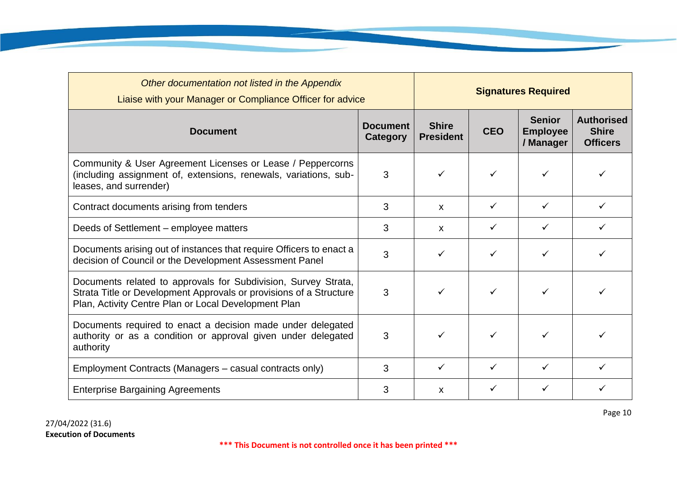| Other documentation not listed in the Appendix                                                                                                                                               | Liaise with your Manager or Compliance Officer for advice |                                  | <b>Signatures Required</b> |                                               |                                                      |  |
|----------------------------------------------------------------------------------------------------------------------------------------------------------------------------------------------|-----------------------------------------------------------|----------------------------------|----------------------------|-----------------------------------------------|------------------------------------------------------|--|
| <b>Document</b>                                                                                                                                                                              | <b>Document</b><br>Category                               | <b>Shire</b><br><b>President</b> | <b>CEO</b>                 | <b>Senior</b><br><b>Employee</b><br>/ Manager | <b>Authorised</b><br><b>Shire</b><br><b>Officers</b> |  |
| Community & User Agreement Licenses or Lease / Peppercorns<br>3<br>(including assignment of, extensions, renewals, variations, sub-<br>leases, and surrender)                                |                                                           | $\checkmark$                     |                            |                                               |                                                      |  |
| 3<br>Contract documents arising from tenders                                                                                                                                                 |                                                           | X                                | ✓                          | $\checkmark$                                  | $\checkmark$                                         |  |
| Deeds of Settlement – employee matters                                                                                                                                                       | 3                                                         | X                                |                            |                                               |                                                      |  |
| Documents arising out of instances that require Officers to enact a<br>decision of Council or the Development Assessment Panel                                                               | 3                                                         | ✓                                |                            |                                               |                                                      |  |
| Documents related to approvals for Subdivision, Survey Strata,<br>Strata Title or Development Approvals or provisions of a Structure<br>Plan, Activity Centre Plan or Local Development Plan | 3                                                         | ✓                                |                            |                                               |                                                      |  |
| Documents required to enact a decision made under delegated<br>authority or as a condition or approval given under delegated<br>authority                                                    | 3                                                         |                                  |                            | ✓                                             |                                                      |  |
| Employment Contracts (Managers – casual contracts only)                                                                                                                                      | 3                                                         | ✓                                | ✓                          |                                               |                                                      |  |
| <b>Enterprise Bargaining Agreements</b>                                                                                                                                                      | 3                                                         | X                                | ✓                          |                                               |                                                      |  |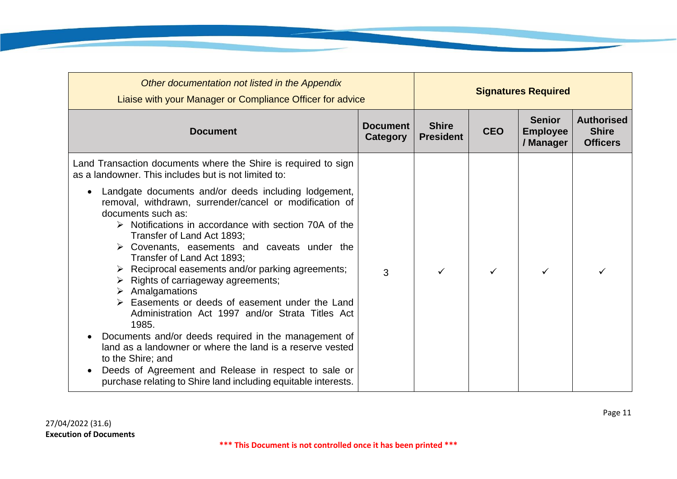| Other documentation not listed in the Appendix<br>Liaise with your Manager or Compliance Officer for advice                                                                                                                                                                                                                                                                                                                                                                                                                                                                                                                                                                                                                                                                                                                                                                                                                                    |                             |                                  |            | <b>Signatures Required</b>                    |                                                      |
|------------------------------------------------------------------------------------------------------------------------------------------------------------------------------------------------------------------------------------------------------------------------------------------------------------------------------------------------------------------------------------------------------------------------------------------------------------------------------------------------------------------------------------------------------------------------------------------------------------------------------------------------------------------------------------------------------------------------------------------------------------------------------------------------------------------------------------------------------------------------------------------------------------------------------------------------|-----------------------------|----------------------------------|------------|-----------------------------------------------|------------------------------------------------------|
| <b>Document</b>                                                                                                                                                                                                                                                                                                                                                                                                                                                                                                                                                                                                                                                                                                                                                                                                                                                                                                                                | <b>Document</b><br>Category | <b>Shire</b><br><b>President</b> | <b>CEO</b> | <b>Senior</b><br><b>Employee</b><br>/ Manager | <b>Authorised</b><br><b>Shire</b><br><b>Officers</b> |
| Land Transaction documents where the Shire is required to sign<br>as a landowner. This includes but is not limited to:                                                                                                                                                                                                                                                                                                                                                                                                                                                                                                                                                                                                                                                                                                                                                                                                                         |                             |                                  |            |                                               |                                                      |
| Landgate documents and/or deeds including lodgement,<br>$\bullet$<br>removal, withdrawn, surrender/cancel or modification of<br>documents such as:<br>$\triangleright$ Notifications in accordance with section 70A of the<br>Transfer of Land Act 1893;<br>$\triangleright$ Covenants, easements and caveats under the<br>Transfer of Land Act 1893;<br>$\triangleright$ Reciprocal easements and/or parking agreements;<br>$\triangleright$ Rights of carriageway agreements;<br>$\triangleright$ Amalgamations<br>$\triangleright$ Easements or deeds of easement under the Land<br>Administration Act 1997 and/or Strata Titles Act<br>1985.<br>Documents and/or deeds required in the management of<br>$\bullet$<br>land as a landowner or where the land is a reserve vested<br>to the Shire; and<br>Deeds of Agreement and Release in respect to sale or<br>$\bullet$<br>purchase relating to Shire land including equitable interests. | 3                           |                                  |            |                                               |                                                      |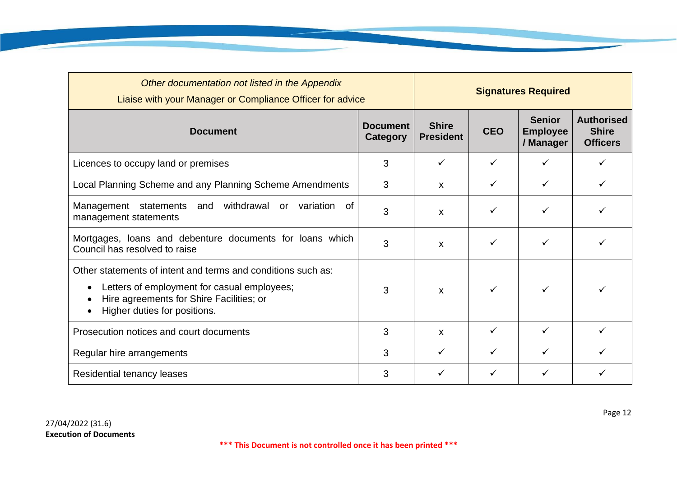| Other documentation not listed in the Appendix<br>Liaise with your Manager or Compliance Officer for advice                                                                                          |                                    | <b>Signatures Required</b>       |              |                                               |                                                      |
|------------------------------------------------------------------------------------------------------------------------------------------------------------------------------------------------------|------------------------------------|----------------------------------|--------------|-----------------------------------------------|------------------------------------------------------|
| <b>Document</b>                                                                                                                                                                                      | <b>Document</b><br><b>Category</b> | <b>Shire</b><br><b>President</b> | <b>CEO</b>   | <b>Senior</b><br><b>Employee</b><br>/ Manager | <b>Authorised</b><br><b>Shire</b><br><b>Officers</b> |
| Licences to occupy land or premises                                                                                                                                                                  | 3                                  | ✓                                | ✓            | ✓                                             |                                                      |
| Local Planning Scheme and any Planning Scheme Amendments                                                                                                                                             | 3                                  | X                                | ✓            | ✓                                             | ✓                                                    |
| withdrawal<br>Management<br>statements<br>and<br>variation<br>of<br>or<br>management statements                                                                                                      | 3                                  | X                                | ✓            | ✓                                             |                                                      |
| Mortgages, loans and debenture documents for loans which<br>Council has resolved to raise                                                                                                            | 3                                  | $\boldsymbol{\mathsf{X}}$        | ✓            | ✓                                             | ✓                                                    |
| Other statements of intent and terms and conditions such as:<br>Letters of employment for casual employees;<br>$\bullet$<br>Hire agreements for Shire Facilities; or<br>Higher duties for positions. | 3                                  | $\mathsf{x}$                     | $\checkmark$ | ✓                                             | ✓                                                    |
| Prosecution notices and court documents                                                                                                                                                              | 3                                  | X                                | $\checkmark$ | $\checkmark$                                  | ✓                                                    |
| Regular hire arrangements                                                                                                                                                                            | 3                                  | ✓                                | ✓            | ✓                                             |                                                      |
| Residential tenancy leases                                                                                                                                                                           | 3                                  |                                  |              |                                               |                                                      |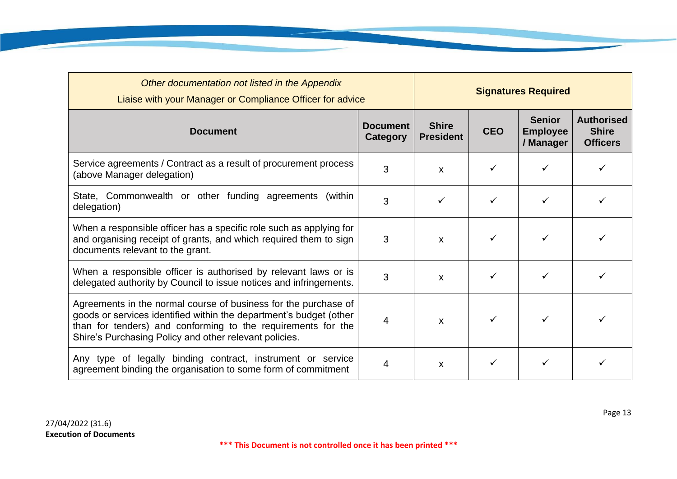| Other documentation not listed in the Appendix<br>Liaise with your Manager or Compliance Officer for advice                                                                                                                                                     |   |                                  |            | <b>Signatures Required</b>                    |                                                      |
|-----------------------------------------------------------------------------------------------------------------------------------------------------------------------------------------------------------------------------------------------------------------|---|----------------------------------|------------|-----------------------------------------------|------------------------------------------------------|
| <b>Document</b><br><b>Document</b><br>Category                                                                                                                                                                                                                  |   | <b>Shire</b><br><b>President</b> | <b>CEO</b> | <b>Senior</b><br><b>Employee</b><br>/ Manager | <b>Authorised</b><br><b>Shire</b><br><b>Officers</b> |
| Service agreements / Contract as a result of procurement process<br>(above Manager delegation)                                                                                                                                                                  | X |                                  |            |                                               |                                                      |
| State, Commonwealth or other funding agreements<br>(within<br>3<br>delegation)                                                                                                                                                                                  |   | ✓                                |            |                                               |                                                      |
| When a responsible officer has a specific role such as applying for<br>and organising receipt of grants, and which required them to sign<br>documents relevant to the grant.                                                                                    | 3 | X                                |            |                                               |                                                      |
| When a responsible officer is authorised by relevant laws or is<br>delegated authority by Council to issue notices and infringements.                                                                                                                           | 3 | X                                |            |                                               |                                                      |
| Agreements in the normal course of business for the purchase of<br>goods or services identified within the department's budget (other<br>than for tenders) and conforming to the requirements for the<br>Shire's Purchasing Policy and other relevant policies. | 4 | X                                |            |                                               |                                                      |
| Any type of legally binding contract, instrument or service<br>agreement binding the organisation to some form of commitment                                                                                                                                    | 4 | X                                |            |                                               |                                                      |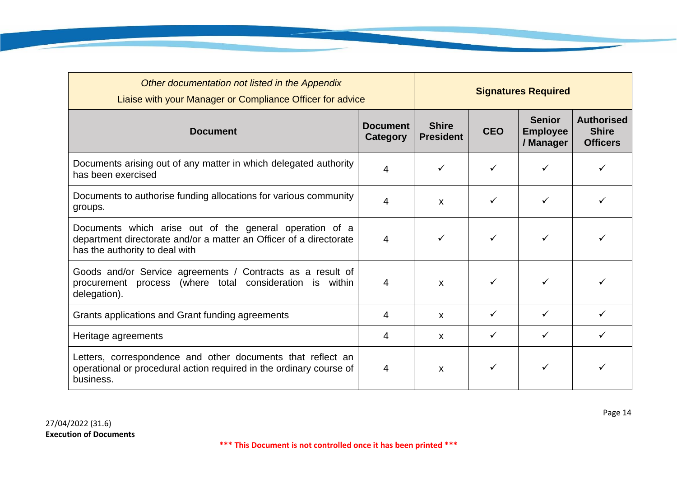| Other documentation not listed in the Appendix<br>Liaise with your Manager or Compliance Officer for advice                                                     |   | <b>Signatures Required</b>       |            |                                               |                                                      |
|-----------------------------------------------------------------------------------------------------------------------------------------------------------------|---|----------------------------------|------------|-----------------------------------------------|------------------------------------------------------|
| <b>Document</b>                                                                                                                                                 |   | <b>Shire</b><br><b>President</b> | <b>CEO</b> | <b>Senior</b><br><b>Employee</b><br>/ Manager | <b>Authorised</b><br><b>Shire</b><br><b>Officers</b> |
| Documents arising out of any matter in which delegated authority<br>4<br>has been exercised                                                                     |   |                                  |            | ✓                                             |                                                      |
| Documents to authorise funding allocations for various community<br>groups.                                                                                     | 4 | X                                |            |                                               |                                                      |
| Documents which arise out of the general operation of a<br>department directorate and/or a matter an Officer of a directorate<br>has the authority to deal with | 4 | ✓                                |            |                                               |                                                      |
| Goods and/or Service agreements / Contracts as a result of<br>procurement process (where total consideration is within<br>delegation).                          | 4 | X                                |            |                                               |                                                      |
| Grants applications and Grant funding agreements                                                                                                                | 4 | X                                | ✓          | ✓                                             |                                                      |
| Heritage agreements                                                                                                                                             | 4 | X                                | ✓          | ✓                                             | ✓                                                    |
| Letters, correspondence and other documents that reflect an<br>operational or procedural action required in the ordinary course of<br>business.                 | 4 | X                                |            |                                               |                                                      |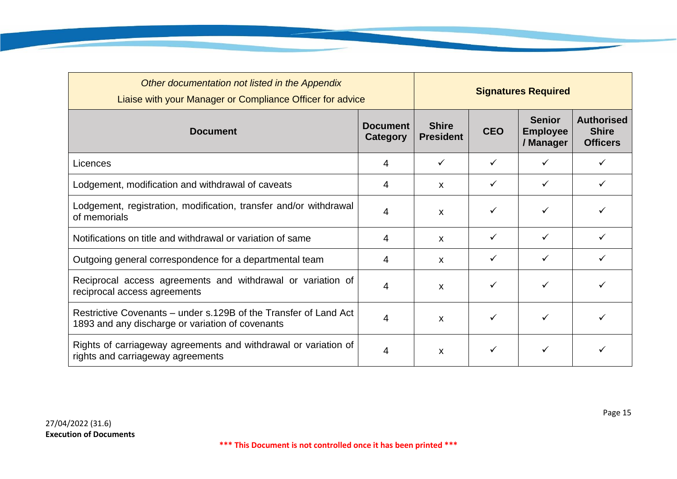| Other documentation not listed in the Appendix<br>Liaise with your Manager or Compliance Officer for advice          |   |                                  | <b>Signatures Required</b> |                                               |                                                      |  |
|----------------------------------------------------------------------------------------------------------------------|---|----------------------------------|----------------------------|-----------------------------------------------|------------------------------------------------------|--|
| <b>Document</b>                                                                                                      |   | <b>Shire</b><br><b>President</b> | <b>CEO</b>                 | <b>Senior</b><br><b>Employee</b><br>/ Manager | <b>Authorised</b><br><b>Shire</b><br><b>Officers</b> |  |
| Licences                                                                                                             | 4 | ✓                                | ✓                          |                                               |                                                      |  |
| Lodgement, modification and withdrawal of caveats                                                                    |   | $\boldsymbol{\mathsf{x}}$        | ✓                          | $\checkmark$                                  | $\checkmark$                                         |  |
| Lodgement, registration, modification, transfer and/or withdrawal<br>of memorials                                    | 4 | $\mathsf{x}$                     | ✓                          |                                               |                                                      |  |
| Notifications on title and withdrawal or variation of same                                                           | 4 | X                                | ✓                          | $\checkmark$                                  | ✓                                                    |  |
| Outgoing general correspondence for a departmental team                                                              | 4 | X                                | ✓                          |                                               |                                                      |  |
| Reciprocal access agreements and withdrawal or variation of<br>reciprocal access agreements                          | 4 | $\boldsymbol{\mathsf{x}}$        | ✓                          |                                               |                                                      |  |
| Restrictive Covenants – under s.129B of the Transfer of Land Act<br>1893 and any discharge or variation of covenants |   | X                                | ✓                          |                                               |                                                      |  |
| Rights of carriageway agreements and withdrawal or variation of<br>rights and carriageway agreements                 | 4 | $\boldsymbol{\mathsf{X}}$        | ✓                          |                                               |                                                      |  |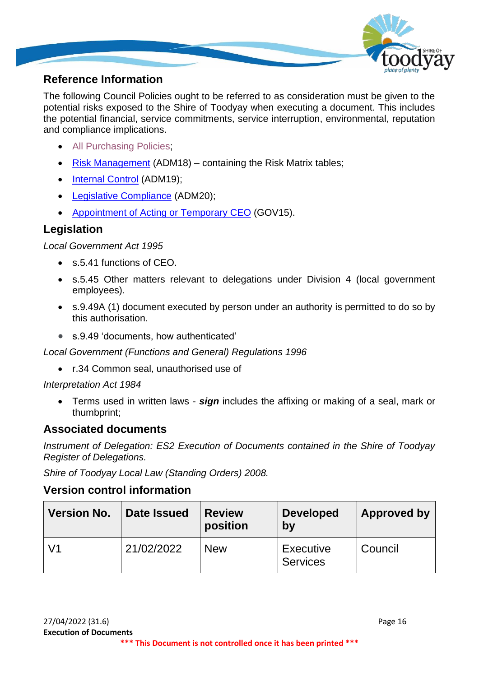

# **Reference Information**

The following Council Policies ought to be referred to as consideration must be given to the potential risks exposed to the Shire of Toodyay when executing a document. This includes the potential financial, service commitments, service interruption, environmental, reputation and compliance implications.

- [All Purchasing Policies;](https://www.toodyay.wa.gov.au/council/shire-documents/policies.aspx)
- [Risk Management](https://www.toodyay.wa.gov.au/documents/110/risk-management) (ADM18) containing the Risk Matrix tables;
- [Internal Control](https://www.toodyay.wa.gov.au/documents/111/internal-control) (ADM19);
- [Legislative Compliance](https://www.toodyay.wa.gov.au/documents/112/legislative-compliance) (ADM20);
- [Appointment of Acting or Temporary CEO](https://www.toodyay.wa.gov.au/documents/316/appointment-of-acting-ceo) (GOV15).

# **Legislation**

*Local Government Act 1995*

- s.5.41 functions of CEO.
- s.5.45 Other matters relevant to delegations under Division 4 (local government employees).
- s.9.49A (1) document executed by person under an authority is permitted to do so by this authorisation.
- s.9.49 'documents, how authenticated'

*Local Government (Functions and General) Regulations 1996*

• r.34 Common seal, unauthorised use of

*Interpretation Act 1984*

• Terms used in written laws - *sign* includes the affixing or making of a seal, mark or thumbprint;

#### **Associated documents**

*Instrument of Delegation: ES2 Execution of Documents contained in the Shire of Toodyay Register of Delegations.*

*Shire of Toodyay Local Law (Standing Orders) 2008.*

#### **Version control information**

| <b>Version No.</b> | Date Issued | <b>Review</b><br>position | <b>Developed</b><br>by       | <b>Approved by</b> |
|--------------------|-------------|---------------------------|------------------------------|--------------------|
| V <sub>1</sub>     | 21/02/2022  | <b>New</b>                | Executive<br><b>Services</b> | Council            |